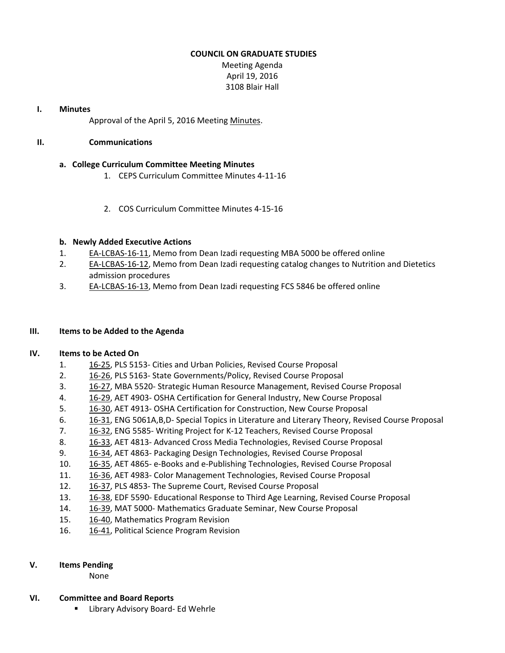# **COUNCIL ON GRADUATE STUDIES**

Meeting Agenda April 19, 2016 3108 Blair Hall

### **I. Minutes**

Approval of the April 5, 2016 Meeting [Minutes.](http://castle.eiu.edu/eiucgs/currentminutes/Minutes04-05-16.pdf)

### **II. Communications**

# **a. College Curriculum Committee Meeting Minutes**

- 1. CEPS Curriculum [Committee](http://www.eiu.edu/cepscurriculum/ay20152016/supportdocs/april/curr_minutes04112016.pdf) Minutes 4‐11‐16
- 2. COS Curriculum [Committee](http://www.eiu.edu/colsci/coscc/minutes_2016/MINUTES_4_15_16.pdf) Minutes 4‐15‐16

# **b. Newly Added Executive Actions**

- 1. EA‐[LCBAS](http://castle.eiu.edu/~eiucgs/exec-actions/EA-LCBAS-16-11.pdf)‐16‐11, Memo from Dean Izadi requesting MBA 5000 be offered online
- 2. EA‐[LCBAS](http://castle.eiu.edu/~eiucgs/exec-actions/EA-LCBAS-16-12.pdf)‐16‐12, Memo from Dean Izadi requesting catalog changes to Nutrition and Dietetics admission procedures
- 3. EA‐[LCBAS](http://castle.eiu.edu/~eiucgs/exec-actions/EA-LCBAS-16-13.pdf)‐16‐13, Memo from Dean Izadi requesting FCS 5846 be offered online

### **III. Items to be Added to the Agenda**

#### **IV. Items to be Acted On**

- 1. [16](http://castle.eiu.edu/~eiucgs/currentagendaitems/agenda16-25.pdf)‐25, PLS 5153‐ Cities and Urban Policies, Revised Course Proposal
- 2. 16-[26,](http://castle.eiu.edu/~eiucgs/currentagendaitems/agenda16-26.pdf) PLS 5163- State Governments/Policy, Revised Course Proposal
- 3. 16‐[27,](http://castle.eiu.edu/~eiucgs/currentagendaitems/agenda16-27.pdf) MBA 5520‐ Strategic Human Resource Management, Revised Course Proposal
- 4. 16‐[29,](http://castle.eiu.edu/~eiucgs/currentagendaitems/agenda16-29.pdf) AET 4903‐ OSHA Certification for General Industry, New Course Proposal
- 5. [16](http://castle.eiu.edu/~eiucgs/currentagendaitems/agenda16-30.pdf)‐30, AET 4913‐ OSHA Certification for Construction, New Course Proposal
- 6. 16‐[31,](http://castle.eiu.edu/~eiucgs/currentagendaitems/agenda16-31.pdf) ENG 5061A,B,D‐ Special Topics in Literature and Literary Theory, Revised Course Proposal
- 7. 16‐[32,](http://castle.eiu.edu/~eiucgs/currentagendaitems/agenda16-32.pdf) ENG 5585‐ Writing Project for K‐12 Teachers, Revised Course Proposal
- 8. 16‐[33,](http://castle.eiu.edu/~eiucgs/currentagendaitems/agenda16-33.pdf) AET 4813‐ Advanced Cross Media Technologies, Revised Course Proposal
- 9. 16-[34,](http://castle.eiu.edu/~eiucgs/currentagendaitems/agenda16-34.pdf) AET 4863- Packaging Design Technologies, Revised Course Proposal
- 10. 16‐[35,](http://castle.eiu.edu/~eiucgs/currentagendaitems/agenda16-35.pdf) AET 4865‐ e‐Books and e‐Publishing Technologies, Revised Course Proposal
- 11. [16](http://castle.eiu.edu/~eiucgs/currentagendaitems/agenda16-36.pdf)‐36, AET 4983‐ Color Management Technologies, Revised Course Proposal
- 12. 16‐[37,](http://castle.eiu.edu/~eiucgs/currentagendaitems/agenda16-37.pdf) PLS 4853‐ The Supreme Court, Revised Course Proposal
- 13. 16–[38,](http://castle.eiu.edu/~eiucgs/currentagendaitems/agenda16-38.pdf) EDF 5590- Educational Response to Third Age Learning, Revised Course Proposal
- 14. 16‐[39,](http://castle.eiu.edu/~eiucgs/currentagendaitems/agenda16-39.pdf) MAT 5000‐ Mathematics Graduate Seminar, New Course Proposal
- 15. 16‐[40,](http://castle.eiu.edu/~eiucgs/currentagendaitems/agenda16-40.pdf) Mathematics Program Revision
- 16. 16-[41,](http://castle.eiu.edu/~eiucgs/currentagendaitems/agenda16-41.pdf) Political Science Program Revision

# **V. Items Pending**

None

# **VI. Committee and Board Reports**

■ Library Advisory Board- Ed Wehrle